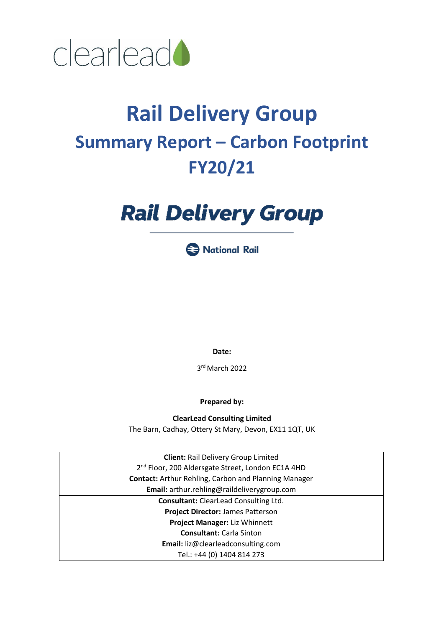

# **Rail Delivery Group Summary Report – Carbon Footprint FY20/21**

# **Rail Delivery Group**



**Date:**

3 rd March 2022

**Prepared by:**

**ClearLead Consulting Limited** The Barn, Cadhay, Ottery St Mary, Devon, EX11 1QT, UK

**Client:** Rail Delivery Group Limited 2<sup>nd</sup> Floor, 200 Aldersgate Street, London EC1A 4HD **Contact:** Arthur Rehling, Carbon and Planning Manager **Email:** arthur.rehling@raildeliverygroup.com **Consultant:** ClearLead Consulting Ltd. **Project Director:** James Patterson **Project Manager:** Liz Whinnett **Consultant:** Carla Sinton **Email:** liz@clearleadconsulting.com Tel.: +44 (0) 1404 814 273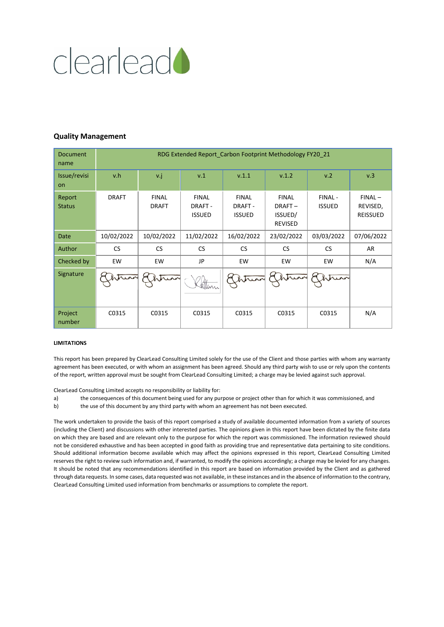

#### **Quality Management**

| <b>Document</b><br>name   | RDG Extended Report_Carbon Footprint Methodology FY20_21 |                              |                                                 |                                          |                                                     |                         |                                          |  |  |
|---------------------------|----------------------------------------------------------|------------------------------|-------------------------------------------------|------------------------------------------|-----------------------------------------------------|-------------------------|------------------------------------------|--|--|
| Issue/revisi<br><b>on</b> | v.h                                                      | v.j                          | v.1                                             | V.1.1                                    | V.1.2                                               | v.2                     | v.3                                      |  |  |
| Report<br><b>Status</b>   | <b>DRAFT</b>                                             | <b>FINAL</b><br><b>DRAFT</b> | <b>FINAL</b><br><b>DRAFT -</b><br><b>ISSUED</b> | <b>FINAL</b><br>DRAFT -<br><b>ISSUED</b> | <b>FINAL</b><br>DRAFT-<br>ISSUED/<br><b>REVISED</b> | FINAL-<br><b>ISSUED</b> | $FINAL -$<br>REVISED,<br><b>REISSUED</b> |  |  |
| Date                      | 10/02/2022                                               | 10/02/2022                   | 11/02/2022                                      | 16/02/2022                               | 23/02/2022                                          | 03/03/2022              | 07/06/2022                               |  |  |
| Author                    | <b>CS</b>                                                | <b>CS</b>                    | <b>CS</b>                                       | <b>CS</b>                                | CS.                                                 | <b>CS</b>               | AR                                       |  |  |
| Checked by                | EW                                                       | EW                           | JP                                              | EW                                       | EW                                                  | EW                      | N/A                                      |  |  |
| Signature                 |                                                          |                              | Satten                                          | htura                                    | hinn                                                |                         |                                          |  |  |
| Project<br>number         | C0315                                                    | C0315                        | C0315                                           | C0315                                    | C0315                                               | C0315                   | N/A                                      |  |  |

#### **LIMITATIONS**

This report has been prepared by ClearLead Consulting Limited solely for the use of the Client and those parties with whom any warranty agreement has been executed, or with whom an assignment has been agreed. Should any third party wish to use or rely upon the contents of the report, written approval must be sought from ClearLead Consulting Limited; a charge may be levied against such approval.

ClearLead Consulting Limited accepts no responsibility or liability for:

- a) the consequences of this document being used for any purpose or project other than for which it was commissioned, and
- b) the use of this document by any third party with whom an agreement has not been executed.

The work undertaken to provide the basis of this report comprised a study of available documented information from a variety of sources (including the Client) and discussions with other interested parties. The opinions given in this report have been dictated by the finite data on which they are based and are relevant only to the purpose for which the report was commissioned. The information reviewed should not be considered exhaustive and has been accepted in good faith as providing true and representative data pertaining to site conditions. Should additional information become available which may affect the opinions expressed in this report, ClearLead Consulting Limited reserves the right to review such information and, if warranted, to modify the opinions accordingly; a charge may be levied for any changes. It should be noted that any recommendations identified in this report are based on information provided by the Client and as gathered through data requests. In some cases, data requested was not available, in these instances and in the absence of information to the contrary, ClearLead Consulting Limited used information from benchmarks or assumptions to complete the report.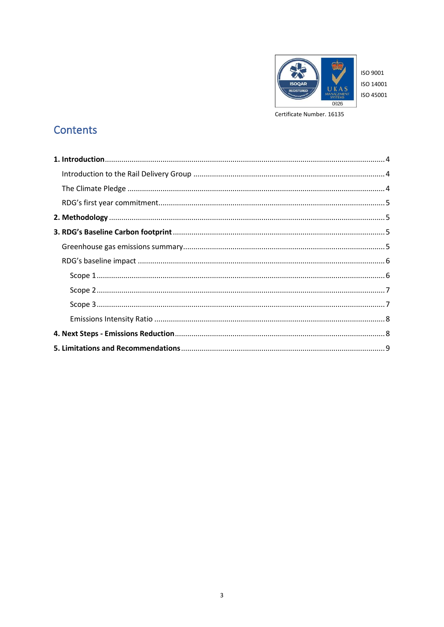

ISO 9001 ISO 14001 ISO 45001

Certificate Number. 16135

# Contents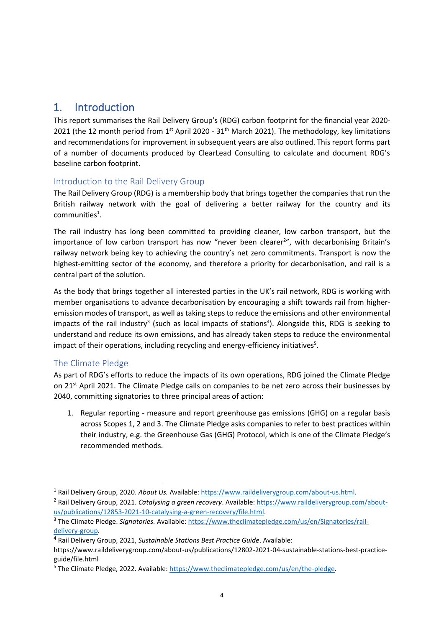# <span id="page-3-0"></span>1. Introduction

This report summarises the Rail Delivery Group's (RDG) carbon footprint for the financial year 2020- 2021 (the 12 month period from  $1<sup>st</sup>$  April 2020 - 31<sup>th</sup> March 2021). The methodology, key limitations and recommendations for improvement in subsequent years are also outlined. This report forms part of a number of documents produced by ClearLead Consulting to calculate and document RDG's baseline carbon footprint.

# <span id="page-3-1"></span>Introduction to the Rail Delivery Group

The Rail Delivery Group (RDG) is a membership body that brings together the companies that run the British railway network with the goal of delivering a better railway for the country and its communities<sup>1</sup>.

The rail industry has long been committed to providing cleaner, low carbon transport, but the importance of low carbon transport has now "never been clearer<sup>2</sup>", with decarbonising Britain's railway network being key to achieving the country's net zero commitments. Transport is now the highest-emitting sector of the economy, and therefore a priority for decarbonisation, and rail is a central part of the solution.

As the body that brings together all interested parties in the UK's rail network, RDG is working with member organisations to advance decarbonisation by encouraging a shift towards rail from higheremission modes of transport, as well as taking steps to reduce the emissions and other environmental impacts of the rail industry<sup>3</sup> (such as local impacts of stations<sup>4</sup>). Alongside this, RDG is seeking to understand and reduce its own emissions, and has already taken steps to reduce the environmental impact of their operations, including recycling and energy-efficiency initiatives<sup>5</sup>.

# <span id="page-3-2"></span>The Climate Pledge

As part of RDG's efforts to reduce the impacts of its own operations, RDG joined the Climate Pledge on 21<sup>st</sup> April 2021. The Climate Pledge calls on companies to be net zero across their businesses by 2040, committing signatories to three principal areas of action:

1. Regular reporting - measure and report greenhouse gas emissions (GHG) on a regular basis across Scopes 1, 2 and 3. The Climate Pledge asks companies to refer to best practices within their industry, e.g. the Greenhouse Gas (GHG) Protocol, which is one of the Climate Pledge's recommended methods.

<sup>4</sup> Rail Delivery Group, 2021, *Sustainable Stations Best Practice Guide*. Available:

<sup>1</sup> Rail Delivery Group, 2020. *About Us.* Available[: https://www.raildeliverygroup.com/about-us.html.](https://www.raildeliverygroup.com/about-us.html)

<sup>2</sup> Rail Delivery Group, 2021. *Catalysing a green recovery*. Available[: https://www.raildeliverygroup.com/about](https://www.raildeliverygroup.com/about-us/publications/12853-2021-10-catalysing-a-green-recovery/file.html)[us/publications/12853-2021-10-catalysing-a-green-recovery/file.html.](https://www.raildeliverygroup.com/about-us/publications/12853-2021-10-catalysing-a-green-recovery/file.html)

<sup>&</sup>lt;sup>3</sup> The Climate Pledge. *Signatories*. Available: [https://www.theclimatepledge.com/us/en/Signatories/rail](https://www.theclimatepledge.com/us/en/Signatories/rail-delivery-group)[delivery-group.](https://www.theclimatepledge.com/us/en/Signatories/rail-delivery-group)

https://www.raildeliverygroup.com/about-us/publications/12802-2021-04-sustainable-stations-best-practiceguide/file.html

<sup>&</sup>lt;sup>5</sup> The Climate Pledge, 2022. Available[: https://www.theclimatepledge.com/us/en/the-pledge.](https://www.theclimatepledge.com/us/en/the-pledge)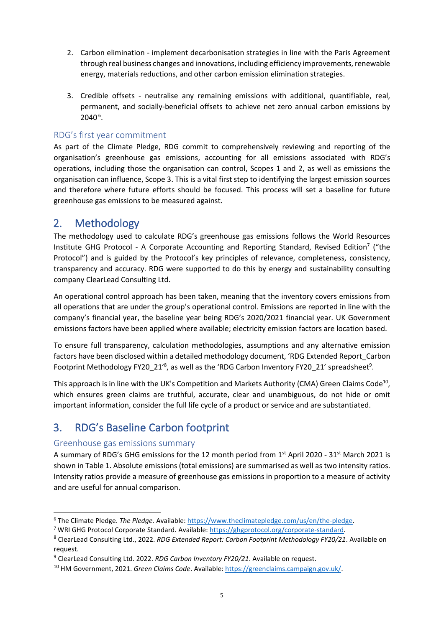- 2. Carbon elimination implement decarbonisation strategies in line with the Paris Agreement through real business changes and innovations, including efficiency improvements, renewable energy, materials reductions, and other carbon emission elimination strategies.
- 3. Credible offsets neutralise any remaining emissions with additional, quantifiable, real, permanent, and socially-beneficial offsets to achieve net zero annual carbon emissions by 2040<sup>6</sup>.

## <span id="page-4-0"></span>RDG's first year commitment

As part of the Climate Pledge, RDG commit to comprehensively reviewing and reporting of the organisation's greenhouse gas emissions, accounting for all emissions associated with RDG's operations, including those the organisation can control, Scopes 1 and 2, as well as emissions the organisation can influence, Scope 3. This is a vital first step to identifying the largest emission sources and therefore where future efforts should be focused. This process will set a baseline for future greenhouse gas emissions to be measured against.

# <span id="page-4-1"></span>2. Methodology

The methodology used to calculate RDG's greenhouse gas emissions follows the World Resources Institute GHG Protocol - A Corporate Accounting and Reporting Standard, Revised Edition<sup>7</sup> ("the Protocol") and is guided by the Protocol's key principles of relevance, completeness, consistency, transparency and accuracy. RDG were supported to do this by energy and sustainability consulting company ClearLead Consulting Ltd.

An operational control approach has been taken, meaning that the inventory covers emissions from all operations that are under the group's operational control. Emissions are reported in line with the company's financial year, the baseline year being RDG's 2020/2021 financial year. UK Government emissions factors have been applied where available; electricity emission factors are location based.

To ensure full transparency, calculation methodologies, assumptions and any alternative emission factors have been disclosed within a detailed methodology document, 'RDG Extended Report\_Carbon Footprint Methodology FY20\_21<sup>'8</sup>, as well as the 'RDG Carbon Inventory FY20\_21' spreadsheet<sup>9</sup>.

<span id="page-4-5"></span><span id="page-4-4"></span>This approach is in line with the UK's Competition and Markets Authority (CMA) Green Claims Code<sup>10</sup>, which ensures green claims are truthful, accurate, clear and unambiguous, do not hide or omit important information, consider the full life cycle of a product or service and are substantiated.

# <span id="page-4-2"></span>3. RDG's Baseline Carbon footprint

## <span id="page-4-3"></span>Greenhouse gas emissions summary

A summary of RDG's GHG emissions for the 12 month period from 1<sup>st</sup> April 2020 - 31<sup>st</sup> March 2021 is shown in Table 1. Absolute emissions (total emissions) are summarised as well as two intensity ratios. Intensity ratios provide a measure of greenhouse gas emissions in proportion to a measure of activity and are useful for annual comparison.

<sup>6</sup> The Climate Pledge. *The Pledge.* Available[: https://www.theclimatepledge.com/us/en/the-pledge.](https://www.theclimatepledge.com/us/en/the-pledge)

<sup>7</sup> WRI GHG Protocol Corporate Standard. Available: [https://ghgprotocol.org/corporate-standard.](https://ghgprotocol.org/corporate-standard)

<sup>8</sup> ClearLead Consulting Ltd., 2022. *RDG Extended Report: Carbon Footprint Methodology FY20/21*. Available on request.

<sup>9</sup> ClearLead Consulting Ltd. 2022. *RDG Carbon Inventory FY20/21*. Available on request.

<sup>10</sup> HM Government, 2021. *Green Claims Code*. Available: [https://greenclaims.campaign.gov.uk/.](https://greenclaims.campaign.gov.uk/)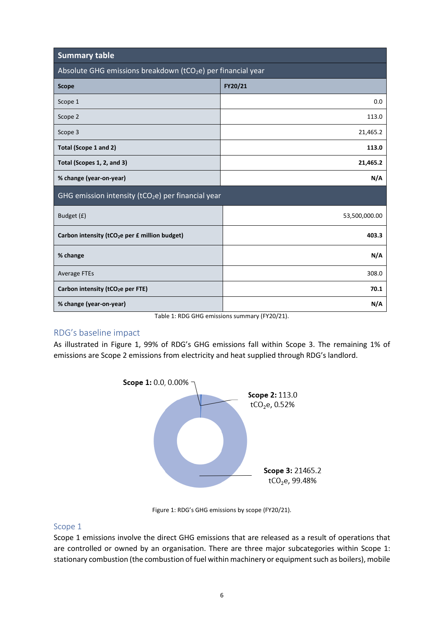| <b>Summary table</b>                                                     |               |  |  |  |
|--------------------------------------------------------------------------|---------------|--|--|--|
| Absolute GHG emissions breakdown (tCO <sub>2</sub> e) per financial year |               |  |  |  |
| <b>Scope</b>                                                             | FY20/21       |  |  |  |
| Scope 1                                                                  | 0.0           |  |  |  |
| Scope 2                                                                  | 113.0         |  |  |  |
| Scope 3                                                                  | 21,465.2      |  |  |  |
| Total (Scope 1 and 2)                                                    | 113.0         |  |  |  |
| Total (Scopes 1, 2, and 3)                                               | 21,465.2      |  |  |  |
| % change (year-on-year)                                                  | N/A           |  |  |  |
| GHG emission intensity (tCO <sub>2</sub> e) per financial year           |               |  |  |  |
| Budget (£)                                                               | 53,500,000.00 |  |  |  |
| Carbon intensity (tCO <sub>2</sub> e per £ million budget)               | 403.3         |  |  |  |
| % change                                                                 | N/A           |  |  |  |
| <b>Average FTEs</b>                                                      | 308.0         |  |  |  |
| Carbon intensity (tCO <sub>2</sub> e per FTE)                            | 70.1          |  |  |  |
| % change (year-on-year)                                                  | N/A           |  |  |  |

Table 1: RDG GHG emissions summary (FY20/21).

## <span id="page-5-0"></span>RDG's baseline impact

As illustrated in Figure 1, 99% of RDG's GHG emissions fall within Scope 3. The remaining 1% of emissions are Scope 2 emissions from electricity and heat supplied through RDG's landlord.



Figure 1: RDG's GHG emissions by scope (FY20/21).

## <span id="page-5-1"></span>Scope 1

Scope 1 emissions involve the direct GHG emissions that are released as a result of operations that are controlled or owned by an organisation. There are three major subcategories within Scope 1: stationary combustion (the combustion of fuel within machinery or equipment such as boilers), mobile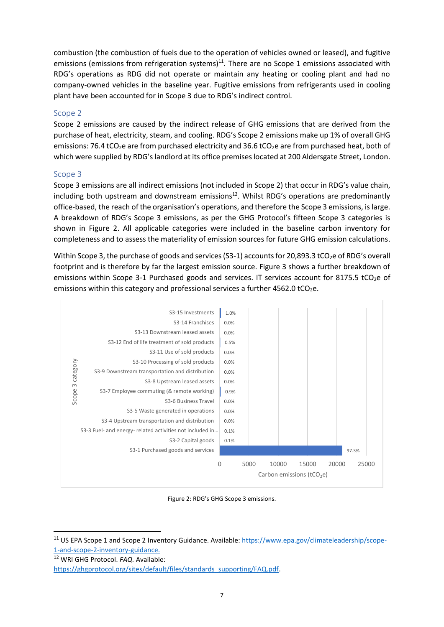combustion (the combustion of fuels due to the operation of vehicles owned or leased), and fugitive emissions (emissions from refrigeration systems)<sup>11</sup>. There are no Scope 1 emissions associated with RDG's operations as RDG did not operate or maintain any heating or cooling plant and had no company-owned vehicles in the baseline year. Fugitive emissions from refrigerants used in cooling plant have been accounted for in Scope 3 due to RDG's indirect control.

### <span id="page-6-0"></span>Scope 2

Scope 2 emissions are caused by the indirect release of GHG emissions that are derived from the purchase of heat, electricity, steam, and cooling. RDG's Scope 2 emissions make up 1% of overall GHG emissions: 76.4 tCO<sub>2</sub>e are from purchased electricity and 36.6 tCO<sub>2</sub>e are from purchased heat, both of which were supplied by RDG's landlord at its office premises located at 200 Aldersgate Street, London.

#### <span id="page-6-1"></span>Scope 3

Scope 3 emissions are all indirect emissions (not included in Scope 2) that occur in RDG's value chain, including both upstream and downstream emissions<sup>12</sup>. Whilst RDG's operations are predominantly office-based, the reach of the organisation's operations, and therefore the Scope 3 emissions, is large. A breakdown of RDG's Scope 3 emissions, as per the GHG Protocol's fifteen Scope 3 categories is shown in Figure 2. All applicable categories were included in the baseline carbon inventory for completeness and to assess the materiality of emission sources for future GHG emission calculations.

Within Scope 3, the purchase of goods and services (S3-1) accounts for 20,893.3 tCO<sub>2</sub>e of RDG's overall footprint and is therefore by far the largest emission source. Figure 3 shows a further breakdown of emissions within Scope 3-1 Purchased goods and services. IT services account for 8175.5 tCO<sub>2</sub>e of emissions within this category and professional services a further  $4562.0$  tCO<sub>2</sub>e.



Figure 2: RDG's GHG Scope 3 emissions.

<sup>&</sup>lt;sup>11</sup> US EPA Scope 1 and Scope 2 Inventory Guidance. Available[: https://www.epa.gov/climateleadership/scope-](https://www.epa.gov/climateleadership/scope-1-and-scope-2-inventory-guidance)[1-and-scope-2-inventory-guidance.](https://www.epa.gov/climateleadership/scope-1-and-scope-2-inventory-guidance)

<sup>12</sup> WRI GHG Protocol. *FAQ.* Available:

[https://ghgprotocol.org/sites/default/files/standards\\_supporting/FAQ.pdf.](https://ghgprotocol.org/sites/default/files/standards_supporting/FAQ.pdf)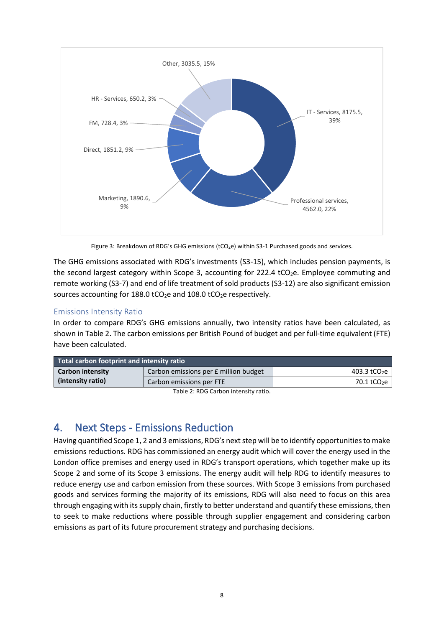

Figure 3: Breakdown of RDG's GHG emissions (tCO<sub>2</sub>e) within S3-1 Purchased goods and services.

The GHG emissions associated with RDG's investments (S3-15), which includes pension payments, is the second largest category within Scope 3, accounting for 222.4 tCO<sub>2</sub>e. Employee commuting and remote working (S3-7) and end of life treatment of sold products (S3-12) are also significant emission sources accounting for 188.0 tCO<sub>2</sub>e and 108.0 tCO<sub>2</sub>e respectively.

## <span id="page-7-0"></span>Emissions Intensity Ratio

In order to compare RDG's GHG emissions annually, two intensity ratios have been calculated, as shown in Table 2. The carbon emissions per British Pound of budget and per full-time equivalent (FTE) have been calculated.

| Total carbon footprint and intensity ratio |                                       |                          |  |  |  |  |
|--------------------------------------------|---------------------------------------|--------------------------|--|--|--|--|
| <b>Carbon intensity</b>                    | Carbon emissions per £ million budget | 403.3 tCO <sub>2</sub> e |  |  |  |  |
| (intensity ratio)                          | Carbon emissions per FTE              | 70.1 tCO $2e$            |  |  |  |  |

Table 2: RDG Carbon intensity ratio.

# <span id="page-7-1"></span>4. Next Steps - Emissions Reduction

Having quantified Scope 1, 2 and 3 emissions, RDG's next step will be to identify opportunities to make emissions reductions. RDG has commissioned an energy audit which will cover the energy used in the London office premises and energy used in RDG's transport operations, which together make up its Scope 2 and some of its Scope 3 emissions. The energy audit will help RDG to identify measures to reduce energy use and carbon emission from these sources. With Scope 3 emissions from purchased goods and services forming the majority of its emissions, RDG will also need to focus on this area through engaging with its supply chain, firstly to better understand and quantify these emissions, then to seek to make reductions where possible through supplier engagement and considering carbon emissions as part of its future procurement strategy and purchasing decisions.